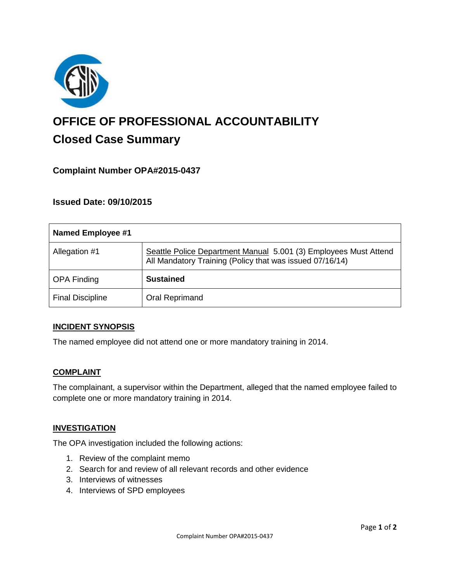

# **OFFICE OF PROFESSIONAL ACCOUNTABILITY Closed Case Summary**

# **Complaint Number OPA#2015-0437**

## **Issued Date: 09/10/2015**

| <b>Named Employee #1</b> |                                                                                                                              |
|--------------------------|------------------------------------------------------------------------------------------------------------------------------|
| Allegation #1            | Seattle Police Department Manual 5.001 (3) Employees Must Attend<br>All Mandatory Training (Policy that was issued 07/16/14) |
| <b>OPA Finding</b>       | <b>Sustained</b>                                                                                                             |
| <b>Final Discipline</b>  | Oral Reprimand                                                                                                               |

#### **INCIDENT SYNOPSIS**

The named employee did not attend one or more mandatory training in 2014.

#### **COMPLAINT**

The complainant, a supervisor within the Department, alleged that the named employee failed to complete one or more mandatory training in 2014.

#### **INVESTIGATION**

The OPA investigation included the following actions:

- 1. Review of the complaint memo
- 2. Search for and review of all relevant records and other evidence
- 3. Interviews of witnesses
- 4. Interviews of SPD employees